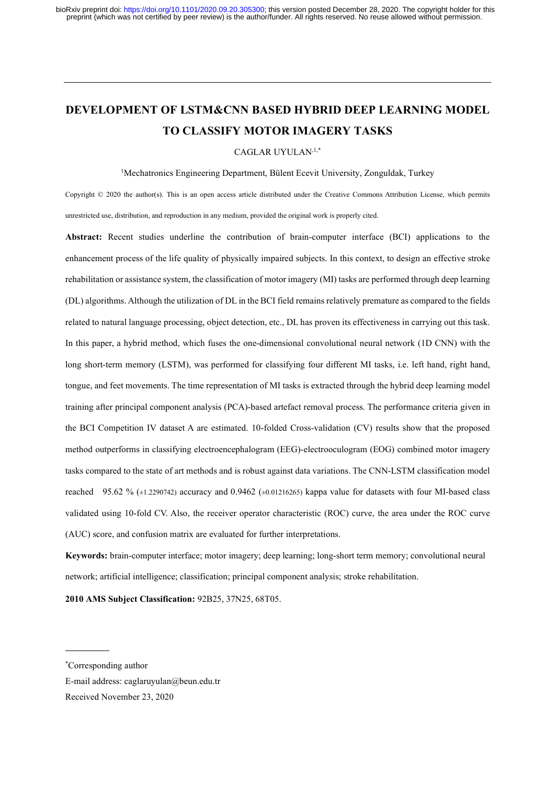# DEVELOPMENT OF LSTM&CNN BASED HYBRID DEEP LEARNING MODEL TO CLASSIFY MOTOR IMAGERY TASKS

CAGLAR UYULAN,1,\*

<sup>1</sup>Mechatronics Engineering Department, Bülent Ecevit University, Zonguldak, Turkey

Copyright © 2020 the author(s). This is an open access article distributed under the Creative Commons Attribution License, which permits unrestricted use, distribution, and reproduction in any medium, provided the original work is properly cited.

Abstract: Recent studies underline the contribution of brain-computer interface (BCI) applications to the enhancement process of the life quality of physically impaired subjects. In this context, to design an effective stroke rehabilitation or assistance system, the classification of motor imagery (MI) tasks are performed through deep learning (DL) algorithms. Although the utilization of DL in the BCI field remains relatively premature as compared to the fields related to natural language processing, object detection, etc., DL has proven its effectiveness in carrying out this task. In this paper, a hybrid method, which fuses the one-dimensional convolutional neural network (1D CNN) with the long short-term memory (LSTM), was performed for classifying four different MI tasks, i.e. left hand, right hand, tongue, and feet movements. The time representation of MI tasks is extracted through the hybrid deep learning model training after principal component analysis (PCA)-based artefact removal process. The performance criteria given in the BCI Competition IV dataset A are estimated. 10-folded Cross-validation (CV) results show that the proposed method outperforms in classifying electroencephalogram (EEG)-electrooculogram (EOG) combined motor imagery tasks compared to the state of art methods and is robust against data variations. The CNN-LSTM classification model reached 95.62 % (±1.2290742) accuracy and 0.9462 (±0.01216265) kappa value for datasets with four MI-based class validated using 10-fold CV. Also, the receiver operator characteristic (ROC) curve, the area under the ROC curve (AUC) score, and confusion matrix are evaluated for further interpretations.

Keywords: brain-computer interface; motor imagery; deep learning; long-short term memory; convolutional neural network; artificial intelligence; classification; principal component analysis; stroke rehabilitation.

2010 AMS Subject Classification: 92B25, 37N25, 68T05.

<sup>\*</sup>Corresponding author

E-mail address: caglaruyulan@beun.edu.tr

Received November 23, 2020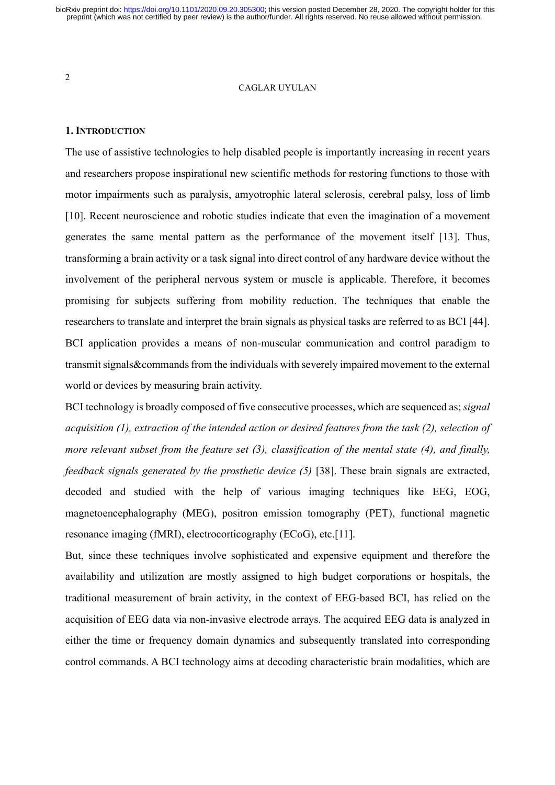#### CAGLAR UYULAN

# 1. INTRODUCTION

The use of assistive technologies to help disabled people is importantly increasing in recent years and researchers propose inspirational new scientific methods for restoring functions to those with motor impairments such as paralysis, amyotrophic lateral sclerosis, cerebral palsy, loss of limb [10]. Recent neuroscience and robotic studies indicate that even the imagination of a movement generates the same mental pattern as the performance of the movement itself [13]. Thus, transforming a brain activity or a task signal into direct control of any hardware device without the involvement of the peripheral nervous system or muscle is applicable. Therefore, it becomes promising for subjects suffering from mobility reduction. The techniques that enable the researchers to translate and interpret the brain signals as physical tasks are referred to as BCI [44]. BCI application provides a means of non-muscular communication and control paradigm to transmit signals&commands from the individuals with severely impaired movement to the external world or devices by measuring brain activity.

BCI technology is broadly composed of five consecutive processes, which are sequenced as; *signal* acquisition (1), extraction of the intended action or desired features from the task (2), selection of more relevant subset from the feature set (3), classification of the mental state (4), and finally, feedback signals generated by the prosthetic device (5) [38]. These brain signals are extracted, decoded and studied with the help of various imaging techniques like EEG, EOG, magnetoencephalography (MEG), positron emission tomography (PET), functional magnetic resonance imaging (fMRI), electrocorticography (ECoG), etc.[11].

But, since these techniques involve sophisticated and expensive equipment and therefore the availability and utilization are mostly assigned to high budget corporations or hospitals, the traditional measurement of brain activity, in the context of EEG-based BCI, has relied on the acquisition of EEG data via non-invasive electrode arrays. The acquired EEG data is analyzed in either the time or frequency domain dynamics and subsequently translated into corresponding control commands. A BCI technology aims at decoding characteristic brain modalities, which are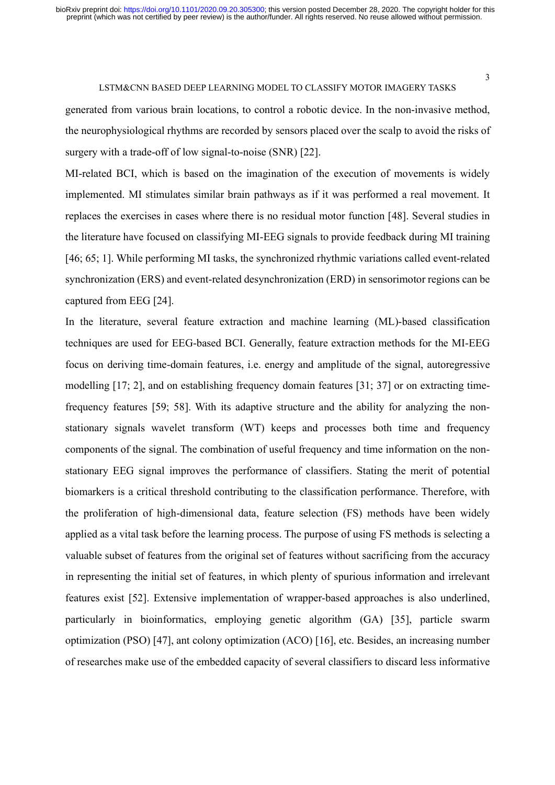generated from various brain locations, to control a robotic device. In the non-invasive method, the neurophysiological rhythms are recorded by sensors placed over the scalp to avoid the risks of surgery with a trade-off of low signal-to-noise (SNR) [22].

MI-related BCI, which is based on the imagination of the execution of movements is widely implemented. MI stimulates similar brain pathways as if it was performed a real movement. It replaces the exercises in cases where there is no residual motor function [48]. Several studies in the literature have focused on classifying MI-EEG signals to provide feedback during MI training [46; 65; 1]. While performing MI tasks, the synchronized rhythmic variations called event-related synchronization (ERS) and event-related desynchronization (ERD) in sensorimotor regions can be captured from EEG [24].

In the literature, several feature extraction and machine learning (ML)-based classification techniques are used for EEG-based BCI. Generally, feature extraction methods for the MI-EEG focus on deriving time-domain features, i.e. energy and amplitude of the signal, autoregressive modelling [17; 2], and on establishing frequency domain features [31; 37] or on extracting timefrequency features [59; 58]. With its adaptive structure and the ability for analyzing the nonstationary signals wavelet transform (WT) keeps and processes both time and frequency components of the signal. The combination of useful frequency and time information on the nonstationary EEG signal improves the performance of classifiers. Stating the merit of potential biomarkers is a critical threshold contributing to the classification performance. Therefore, with the proliferation of high-dimensional data, feature selection (FS) methods have been widely applied as a vital task before the learning process. The purpose of using FS methods is selecting a valuable subset of features from the original set of features without sacrificing from the accuracy in representing the initial set of features, in which plenty of spurious information and irrelevant features exist [52]. Extensive implementation of wrapper-based approaches is also underlined, particularly in bioinformatics, employing genetic algorithm (GA) [35], particle swarm optimization (PSO) [47], ant colony optimization (ACO) [16], etc. Besides, an increasing number of researches make use of the embedded capacity of several classifiers to discard less informative

3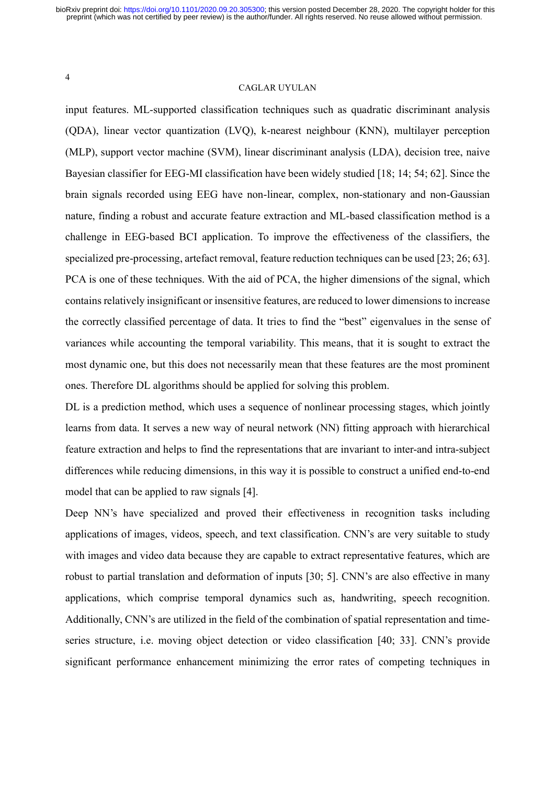# CAGLAR UYULAN

input features. ML-supported classification techniques such as quadratic discriminant analysis (QDA), linear vector quantization (LVQ), k-nearest neighbour (KNN), multilayer perception (MLP), support vector machine (SVM), linear discriminant analysis (LDA), decision tree, naive Bayesian classifier for EEG-MI classification have been widely studied [18; 14; 54; 62]. Since the brain signals recorded using EEG have non-linear, complex, non-stationary and non-Gaussian nature, finding a robust and accurate feature extraction and ML-based classification method is a challenge in EEG-based BCI application. To improve the effectiveness of the classifiers, the specialized pre-processing, artefact removal, feature reduction techniques can be used [23; 26; 63]. PCA is one of these techniques. With the aid of PCA, the higher dimensions of the signal, which contains relatively insignificant or insensitive features, are reduced to lower dimensions to increase the correctly classified percentage of data. It tries to find the "best" eigenvalues in the sense of variances while accounting the temporal variability. This means, that it is sought to extract the most dynamic one, but this does not necessarily mean that these features are the most prominent ones. Therefore DL algorithms should be applied for solving this problem.

DL is a prediction method, which uses a sequence of nonlinear processing stages, which jointly learns from data. It serves a new way of neural network (NN) fitting approach with hierarchical feature extraction and helps to find the representations that are invariant to inter-and intra-subject differences while reducing dimensions, in this way it is possible to construct a unified end-to-end model that can be applied to raw signals [4].

Deep NN's have specialized and proved their effectiveness in recognition tasks including applications of images, videos, speech, and text classification. CNN's are very suitable to study with images and video data because they are capable to extract representative features, which are robust to partial translation and deformation of inputs [30; 5]. CNN's are also effective in many applications, which comprise temporal dynamics such as, handwriting, speech recognition. Additionally, CNN's are utilized in the field of the combination of spatial representation and timeseries structure, i.e. moving object detection or video classification [40; 33]. CNN's provide significant performance enhancement minimizing the error rates of competing techniques in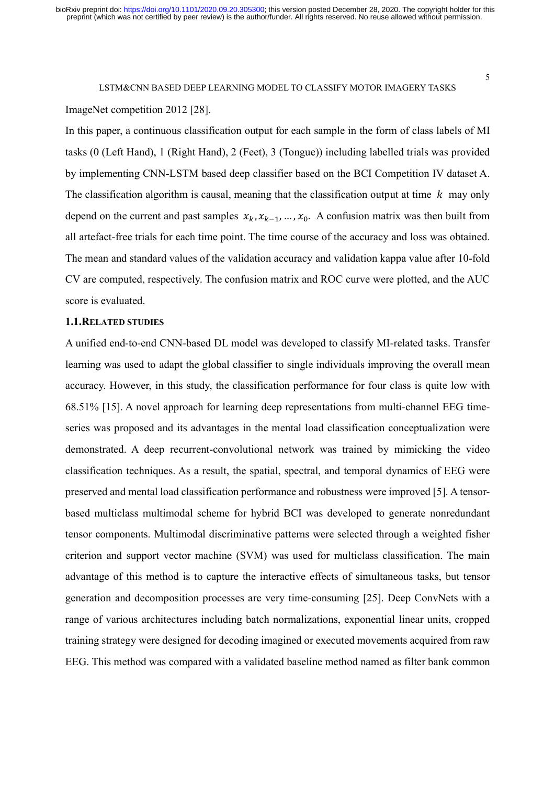ImageNet competition 2012 [28].

In this paper, a continuous classification output for each sample in the form of class labels of MI tasks (0 (Left Hand), 1 (Right Hand), 2 (Feet), 3 (Tongue)) including labelled trials was provided by implementing CNN-LSTM based deep classifier based on the BCI Competition IV dataset A. The classification algorithm is causal, meaning that the classification output at time  $k$  may only depend on the current and past samples  $x_k, x_{k-1}, ..., x_0$ . A confusion matrix was then built from all artefact-free trials for each time point. The time course of the accuracy and loss was obtained. The mean and standard values of the validation accuracy and validation kappa value after 10-fold CV are computed, respectively. The confusion matrix and ROC curve were plotted, and the AUC score is evaluated.

# 1.1.RELATED STUDIES

A unified end-to-end CNN-based DL model was developed to classify MI-related tasks. Transfer learning was used to adapt the global classifier to single individuals improving the overall mean accuracy. However, in this study, the classification performance for four class is quite low with 68.51% [15]. A novel approach for learning deep representations from multi-channel EEG timeseries was proposed and its advantages in the mental load classification conceptualization were demonstrated. A deep recurrent-convolutional network was trained by mimicking the video classification techniques. As a result, the spatial, spectral, and temporal dynamics of EEG were preserved and mental load classification performance and robustness were improved [5]. A tensorbased multiclass multimodal scheme for hybrid BCI was developed to generate nonredundant tensor components. Multimodal discriminative patterns were selected through a weighted fisher criterion and support vector machine (SVM) was used for multiclass classification. The main advantage of this method is to capture the interactive effects of simultaneous tasks, but tensor generation and decomposition processes are very time-consuming [25]. Deep ConvNets with a range of various architectures including batch normalizations, exponential linear units, cropped training strategy were designed for decoding imagined or executed movements acquired from raw EEG. This method was compared with a validated baseline method named as filter bank common

5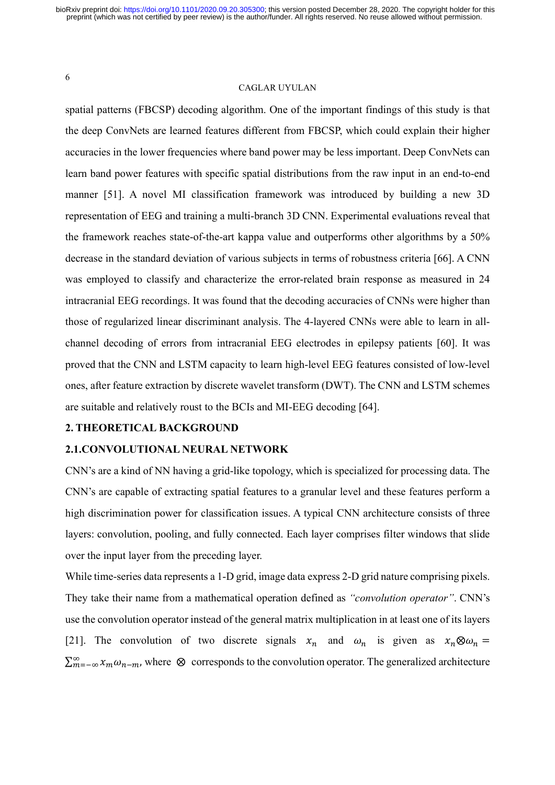# CAGLAR UYULAN

spatial patterns (FBCSP) decoding algorithm. One of the important findings of this study is that the deep ConvNets are learned features different from FBCSP, which could explain their higher accuracies in the lower frequencies where band power may be less important. Deep ConvNets can learn band power features with specific spatial distributions from the raw input in an end-to-end manner [51]. A novel MI classification framework was introduced by building a new 3D representation of EEG and training a multi-branch 3D CNN. Experimental evaluations reveal that the framework reaches state-of-the-art kappa value and outperforms other algorithms by a 50% decrease in the standard deviation of various subjects in terms of robustness criteria [66]. A CNN was employed to classify and characterize the error-related brain response as measured in 24 intracranial EEG recordings. It was found that the decoding accuracies of CNNs were higher than those of regularized linear discriminant analysis. The 4-layered CNNs were able to learn in allchannel decoding of errors from intracranial EEG electrodes in epilepsy patients [60]. It was proved that the CNN and LSTM capacity to learn high-level EEG features consisted of low-level ones, after feature extraction by discrete wavelet transform (DWT). The CNN and LSTM schemes are suitable and relatively roust to the BCIs and MI-EEG decoding [64].

# 2. THEORETICAL BACKGROUND

## 2.1.CONVOLUTIONAL NEURAL NETWORK

CNN's are a kind of NN having a grid-like topology, which is specialized for processing data. The CNN's are capable of extracting spatial features to a granular level and these features perform a high discrimination power for classification issues. A typical CNN architecture consists of three layers: convolution, pooling, and fully connected. Each layer comprises filter windows that slide over the input layer from the preceding layer.

While time-series data represents a 1-D grid, image data express 2-D grid nature comprising pixels. They take their name from a mathematical operation defined as "convolution operator". CNN's use the convolution operator instead of the general matrix multiplication in at least one of its layers [21]. The convolution of two discrete signals  $x_n$  and  $\omega_n$  is given as  $x_n \otimes \omega_n =$  $\sum_{m=-\infty}^{\infty} x_m \omega_{n-m}$ , where  $\otimes$  corresponds to the convolution operator. The generalized architecture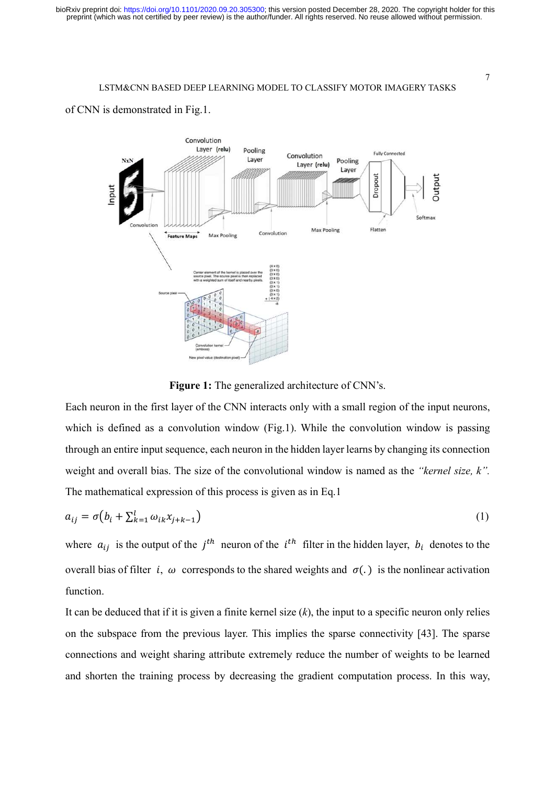



Figure 1: The generalized architecture of CNN's.

Each neuron in the first layer of the CNN interacts only with a small region of the input neurons, which is defined as a convolution window (Fig.1). While the convolution window is passing through an entire input sequence, each neuron in the hidden layer learns by changing its connection weight and overall bias. The size of the convolutional window is named as the "kernel size, k". The mathematical expression of this process is given as in Eq.1

$$
a_{ij} = \sigma(b_i + \sum_{k=1}^{l} \omega_{ik} x_{j+k-1})
$$
\n(1)

where  $a_{ij}$  is the output of the  $j<sup>th</sup>$  neuron of the  $i<sup>th</sup>$  filter in the hidden layer,  $b_i$  denotes to the overall bias of filter *i*,  $\omega$  corresponds to the shared weights and  $\sigma(.)$  is the nonlinear activation function.

It can be deduced that if it is given a finite kernel size  $(k)$ , the input to a specific neuron only relies on the subspace from the previous layer. This implies the sparse connectivity [43]. The sparse connections and weight sharing attribute extremely reduce the number of weights to be learned and shorten the training process by decreasing the gradient computation process. In this way,

7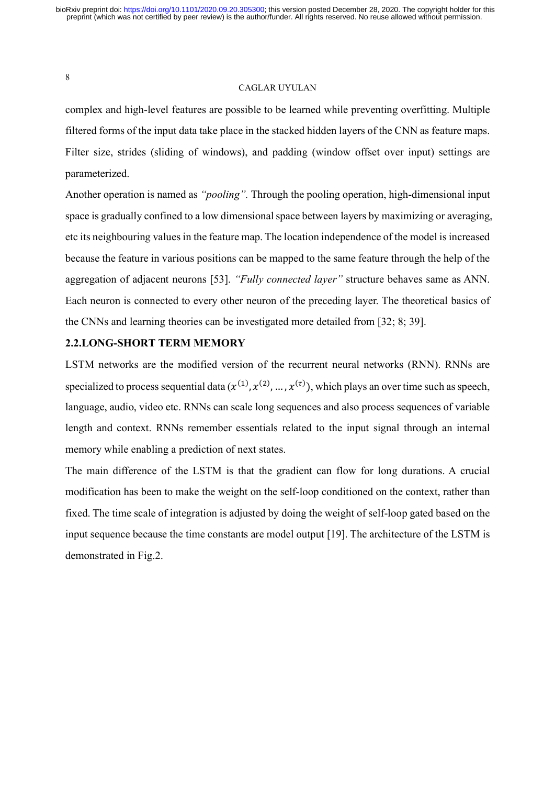## CAGLAR UYULAN

complex and high-level features are possible to be learned while preventing overfitting. Multiple filtered forms of the input data take place in the stacked hidden layers of the CNN as feature maps. Filter size, strides (sliding of windows), and padding (window offset over input) settings are parameterized.

Another operation is named as "*pooling*". Through the pooling operation, high-dimensional input space is gradually confined to a low dimensional space between layers by maximizing or averaging, etc its neighbouring values in the feature map. The location independence of the model is increased because the feature in various positions can be mapped to the same feature through the help of the aggregation of adjacent neurons [53]. "Fully connected layer" structure behaves same as ANN. Each neuron is connected to every other neuron of the preceding layer. The theoretical basics of the CNNs and learning theories can be investigated more detailed from [32; 8; 39].

# 2.2.LONG-SHORT TERM MEMORY

LSTM networks are the modified version of the recurrent neural networks (RNN). RNNs are specialized to process sequential data  $(x^{(1)}, x^{(2)}, ..., x^{(\tau)})$ , which plays an over time such as speech, language, audio, video etc. RNNs can scale long sequences and also process sequences of variable length and context. RNNs remember essentials related to the input signal through an internal memory while enabling a prediction of next states.

The main difference of the LSTM is that the gradient can flow for long durations. A crucial modification has been to make the weight on the self-loop conditioned on the context, rather than fixed. The time scale of integration is adjusted by doing the weight of self-loop gated based on the input sequence because the time constants are model output [19]. The architecture of the LSTM is demonstrated in Fig.2.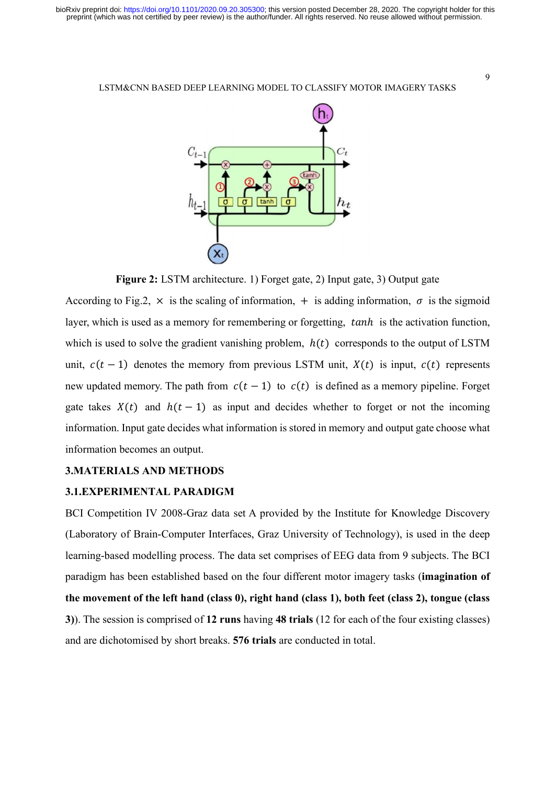

Figure 2: LSTM architecture. 1) Forget gate, 2) Input gate, 3) Output gate

According to Fig.2,  $\times$  is the scaling of information,  $+$  is adding information,  $\sigma$  is the sigmoid layer, which is used as a memory for remembering or forgetting,  $tanh$  is the activation function, which is used to solve the gradient vanishing problem,  $h(t)$  corresponds to the output of LSTM unit,  $c(t - 1)$  denotes the memory from previous LSTM unit,  $X(t)$  is input,  $c(t)$  represents new updated memory. The path from  $c(t - 1)$  to  $c(t)$  is defined as a memory pipeline. Forget gate takes  $X(t)$  and  $h(t - 1)$  as input and decides whether to forget or not the incoming information. Input gate decides what information is stored in memory and output gate choose what information becomes an output.

#### 3.MATERIALS AND METHODS

## 3.1.EXPERIMENTAL PARADIGM

BCI Competition IV 2008-Graz data set A provided by the Institute for Knowledge Discovery (Laboratory of Brain-Computer Interfaces, Graz University of Technology), is used in the deep learning-based modelling process. The data set comprises of EEG data from 9 subjects. The BCI paradigm has been established based on the four different motor imagery tasks (imagination of the movement of the left hand (class 0), right hand (class 1), both feet (class 2), tongue (class 3)). The session is comprised of 12 runs having 48 trials (12 for each of the four existing classes) and are dichotomised by short breaks. 576 trials are conducted in total.

9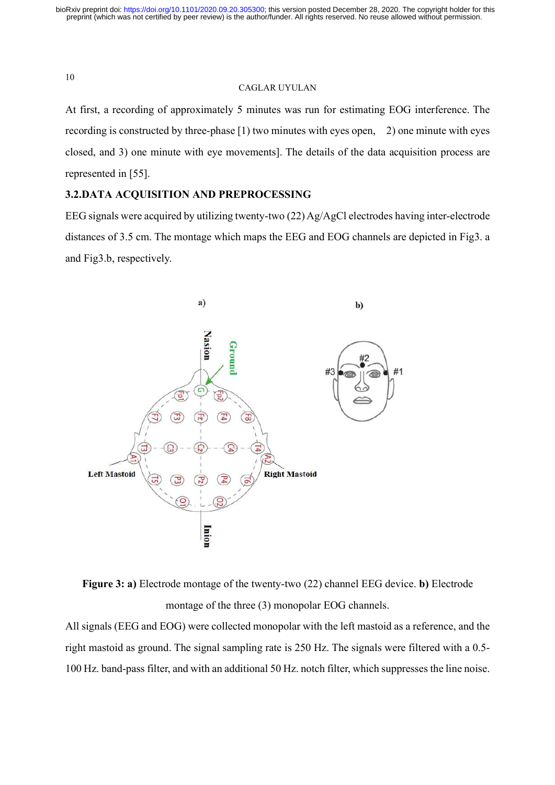# CAGLAR UYULAN

At first, a recording of approximately 5 minutes was run for estimating EOG interference. The recording is constructed by three-phase [1) two minutes with eyes open, 2) one minute with eyes closed, and 3) one minute with eye movements]. The details of the data acquisition process are represented in [55].

# 3.2.DATA ACQUISITION AND PREPROCESSING

EEG signals were acquired by utilizing twenty-two (22) Ag/AgCl electrodes having inter-electrode distances of 3.5 cm. The montage which maps the EEG and EOG channels are depicted in Fig3. a and Fig3.b, respectively.





All signals (EEG and EOG) were collected monopolar with the left mastoid as a reference, and the right mastoid as ground. The signal sampling rate is 250 Hz. The signals were filtered with a 0.5- 100 Hz. band-pass filter, and with an additional 50 Hz. notch filter, which suppresses the line noise.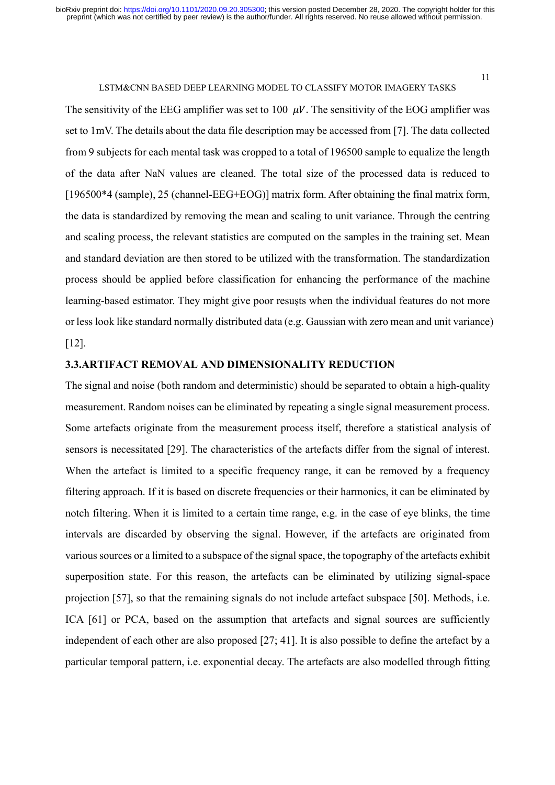The sensitivity of the EEG amplifier was set to 100  $\mu$ V. The sensitivity of the EOG amplifier was set to 1mV. The details about the data file description may be accessed from [7]. The data collected from 9 subjects for each mental task was cropped to a total of 196500 sample to equalize the length of the data after NaN values are cleaned. The total size of the processed data is reduced to [196500\*4 (sample), 25 (channel-EEG+EOG)] matrix form. After obtaining the final matrix form, the data is standardized by removing the mean and scaling to unit variance. Through the centring and scaling process, the relevant statistics are computed on the samples in the training set. Mean and standard deviation are then stored to be utilized with the transformation. The standardization process should be applied before classification for enhancing the performance of the machine learning-based estimator. They might give poor resuşts when the individual features do not more or less look like standard normally distributed data (e.g. Gaussian with zero mean and unit variance) [12].

## 3.3.ARTIFACT REMOVAL AND DIMENSIONALITY REDUCTION

The signal and noise (both random and deterministic) should be separated to obtain a high-quality measurement. Random noises can be eliminated by repeating a single signal measurement process. Some artefacts originate from the measurement process itself, therefore a statistical analysis of sensors is necessitated [29]. The characteristics of the artefacts differ from the signal of interest. When the artefact is limited to a specific frequency range, it can be removed by a frequency filtering approach. If it is based on discrete frequencies or their harmonics, it can be eliminated by notch filtering. When it is limited to a certain time range, e.g. in the case of eye blinks, the time intervals are discarded by observing the signal. However, if the artefacts are originated from various sources or a limited to a subspace of the signal space, the topography of the artefacts exhibit superposition state. For this reason, the artefacts can be eliminated by utilizing signal-space projection [57], so that the remaining signals do not include artefact subspace [50]. Methods, i.e. ICA [61] or PCA, based on the assumption that artefacts and signal sources are sufficiently independent of each other are also proposed [27; 41]. It is also possible to define the artefact by a particular temporal pattern, i.e. exponential decay. The artefacts are also modelled through fitting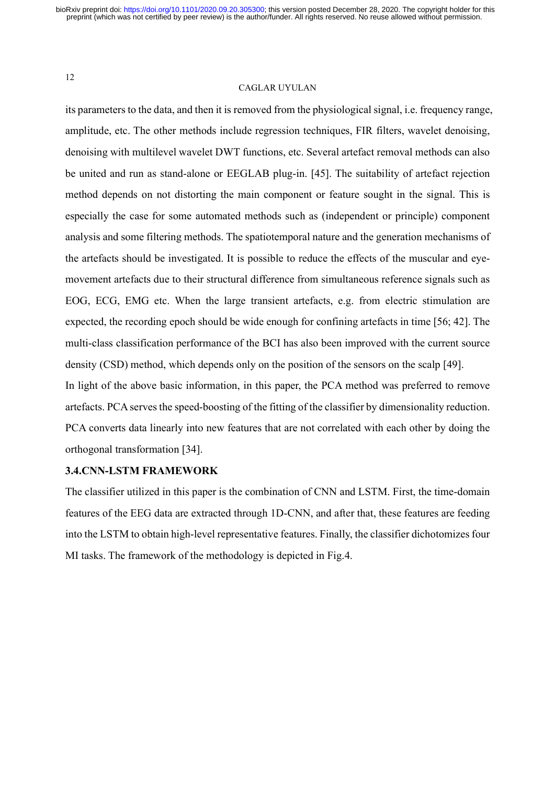## CAGLAR UYULAN

its parameters to the data, and then it is removed from the physiological signal, i.e. frequency range, amplitude, etc. The other methods include regression techniques, FIR filters, wavelet denoising, denoising with multilevel wavelet DWT functions, etc. Several artefact removal methods can also be united and run as stand-alone or EEGLAB plug-in. [45]. The suitability of artefact rejection method depends on not distorting the main component or feature sought in the signal. This is especially the case for some automated methods such as (independent or principle) component analysis and some filtering methods. The spatiotemporal nature and the generation mechanisms of the artefacts should be investigated. It is possible to reduce the effects of the muscular and eyemovement artefacts due to their structural difference from simultaneous reference signals such as EOG, ECG, EMG etc. When the large transient artefacts, e.g. from electric stimulation are expected, the recording epoch should be wide enough for confining artefacts in time [56; 42]. The multi-class classification performance of the BCI has also been improved with the current source density (CSD) method, which depends only on the position of the sensors on the scalp [49]. In light of the above basic information, in this paper, the PCA method was preferred to remove artefacts. PCA serves the speed-boosting of the fitting of the classifier by dimensionality reduction. PCA converts data linearly into new features that are not correlated with each other by doing the

orthogonal transformation [34].

# 3.4.CNN-LSTM FRAMEWORK

The classifier utilized in this paper is the combination of CNN and LSTM. First, the time-domain features of the EEG data are extracted through 1D-CNN, and after that, these features are feeding into the LSTM to obtain high-level representative features. Finally, the classifier dichotomizes four MI tasks. The framework of the methodology is depicted in Fig.4.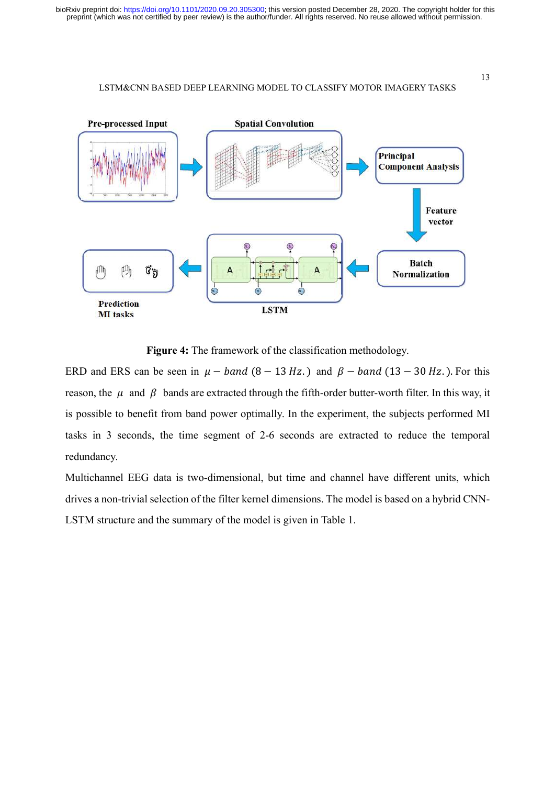

Figure 4: The framework of the classification methodology.

ERD and ERS can be seen in  $\mu$  – *band* (8 – 13 Hz.) and  $\beta$  – *band* (13 – 30 Hz.). For this reason, the  $\mu$  and  $\beta$  bands are extracted through the fifth-order butter-worth filter. In this way, it is possible to benefit from band power optimally. In the experiment, the subjects performed MI tasks in 3 seconds, the time segment of 2-6 seconds are extracted to reduce the temporal redundancy.

Multichannel EEG data is two-dimensional, but time and channel have different units, which drives a non-trivial selection of the filter kernel dimensions. The model is based on a hybrid CNN-LSTM structure and the summary of the model is given in Table 1.

13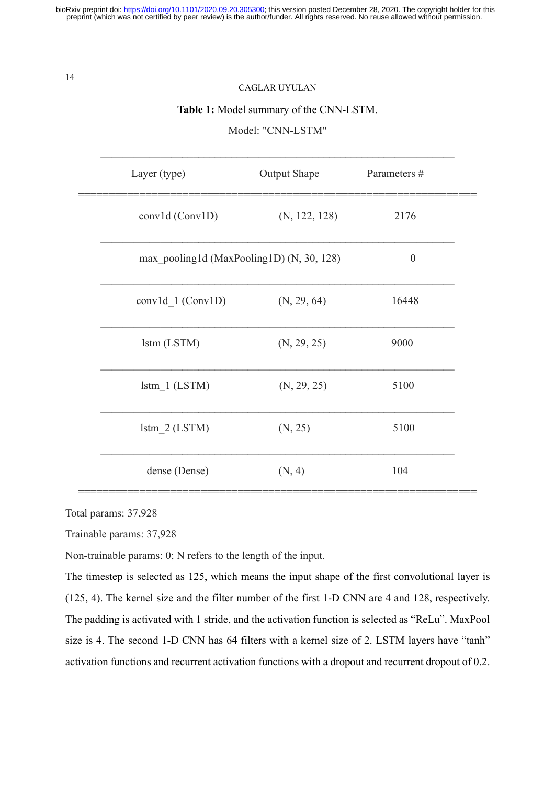# CAGLAR UYULAN

## Table 1: Model summary of the CNN-LSTM.

Model: "CNN-LSTM"

| Layer (type)                              | <b>Output Shape</b> | Parameters #     |  |
|-------------------------------------------|---------------------|------------------|--|
| conv1d (Conv1D)                           | (N, 122, 128)       | 2176             |  |
| max pooling1d (MaxPooling1D) (N, 30, 128) |                     | $\boldsymbol{0}$ |  |
| conv1d $1 (Conv1D)$                       | (N, 29, 64)         | 16448            |  |
| lstm (LSTM)                               | (N, 29, 25)         | 9000             |  |
| $lstm$ $1 (LSTM)$                         | (N, 29, 25)         | 5100             |  |
| $lstm$ 2 (LSTM)                           | (N, 25)             | 5100             |  |
| dense (Dense)                             | (N, 4)              | 104              |  |

Total params: 37,928

Trainable params: 37,928

Non-trainable params: 0; N refers to the length of the input.

The timestep is selected as 125, which means the input shape of the first convolutional layer is (125, 4). The kernel size and the filter number of the first 1-D CNN are 4 and 128, respectively. The padding is activated with 1 stride, and the activation function is selected as "ReLu". MaxPool size is 4. The second 1-D CNN has 64 filters with a kernel size of 2. LSTM layers have "tanh" activation functions and recurrent activation functions with a dropout and recurrent dropout of 0.2.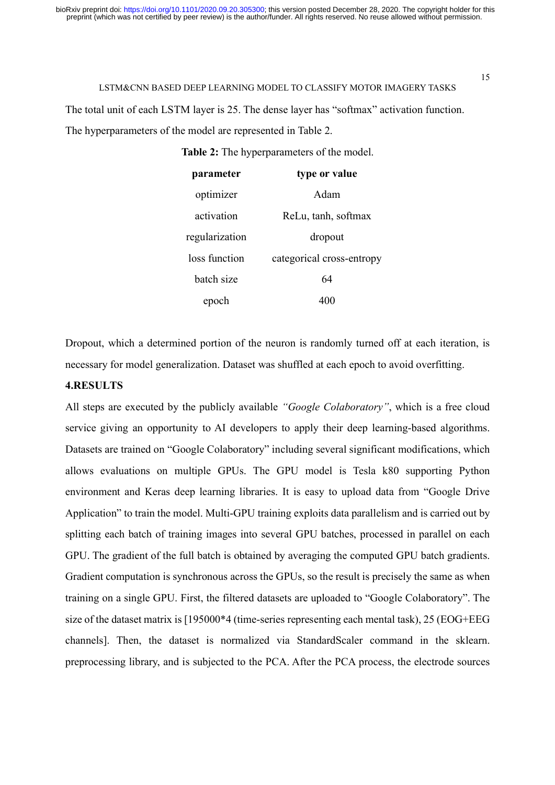The total unit of each LSTM layer is 25. The dense layer has "softmax" activation function. The hyperparameters of the model are represented in Table 2.

Table 2: The hyperparameters of the model.

| parameter      | type or value             |  |  |
|----------------|---------------------------|--|--|
| optimizer      | Adam                      |  |  |
| activation     | ReLu, tanh, softmax       |  |  |
| regularization | dropout                   |  |  |
| loss function  | categorical cross-entropy |  |  |
| hatch size     | 64                        |  |  |
| epoc           |                           |  |  |

Dropout, which a determined portion of the neuron is randomly turned off at each iteration, is necessary for model generalization. Dataset was shuffled at each epoch to avoid overfitting.

# 4.RESULTS

All steps are executed by the publicly available "Google Colaboratory", which is a free cloud service giving an opportunity to AI developers to apply their deep learning-based algorithms. Datasets are trained on "Google Colaboratory" including several significant modifications, which allows evaluations on multiple GPUs. The GPU model is Tesla k80 supporting Python environment and Keras deep learning libraries. It is easy to upload data from "Google Drive Application" to train the model. Multi-GPU training exploits data parallelism and is carried out by splitting each batch of training images into several GPU batches, processed in parallel on each GPU. The gradient of the full batch is obtained by averaging the computed GPU batch gradients. Gradient computation is synchronous across the GPUs, so the result is precisely the same as when training on a single GPU. First, the filtered datasets are uploaded to "Google Colaboratory". The size of the dataset matrix is [195000\*4 (time-series representing each mental task), 25 (EOG+EEG channels]. Then, the dataset is normalized via StandardScaler command in the sklearn. preprocessing library, and is subjected to the PCA. After the PCA process, the electrode sources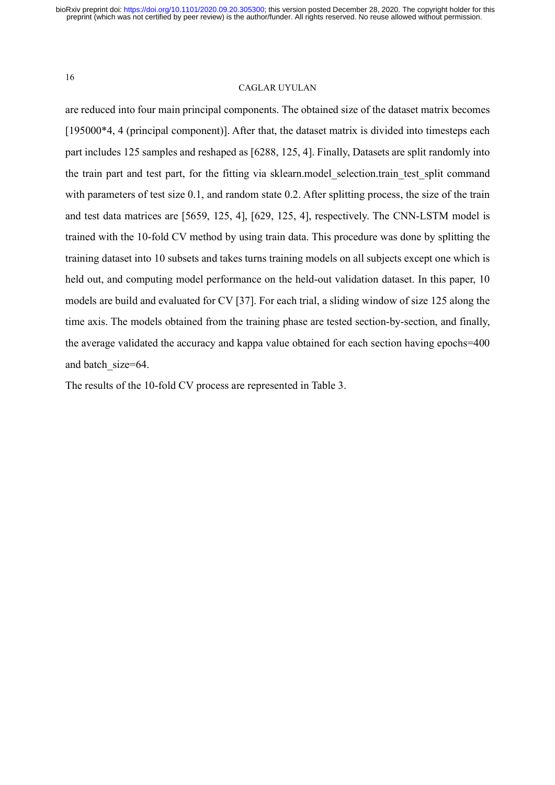## CAGLAR UYULAN

are reduced into four main principal components. The obtained size of the dataset matrix becomes [195000\*4, 4 (principal component)]. After that, the dataset matrix is divided into timesteps each part includes 125 samples and reshaped as [6288, 125, 4]. Finally, Datasets are split randomly into the train part and test part, for the fitting via sklearn.model selection.train test split command with parameters of test size 0.1, and random state 0.2. After splitting process, the size of the train and test data matrices are [5659, 125, 4], [629, 125, 4], respectively. The CNN-LSTM model is trained with the 10-fold CV method by using train data. This procedure was done by splitting the training dataset into 10 subsets and takes turns training models on all subjects except one which is held out, and computing model performance on the held-out validation dataset. In this paper, 10 models are build and evaluated for CV [37]. For each trial, a sliding window of size 125 along the time axis. The models obtained from the training phase are tested section-by-section, and finally, the average validated the accuracy and kappa value obtained for each section having epochs=400 and batch size=64.

The results of the 10-fold CV process are represented in Table 3.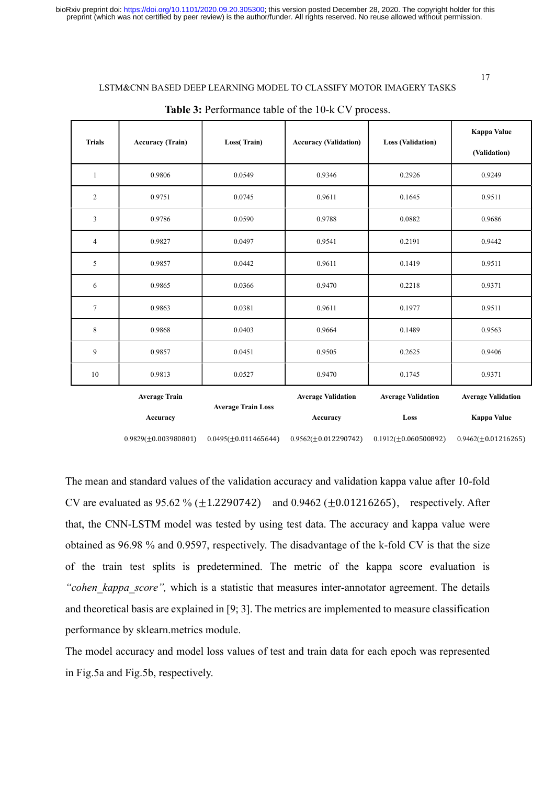| <b>Trials</b>  | <b>Accuracy (Train)</b>   | Loss(Train)               | <b>Accuracy (Validation)</b> | <b>Loss (Validation)</b>  | Kappa Value<br>(Validation) |
|----------------|---------------------------|---------------------------|------------------------------|---------------------------|-----------------------------|
| $\mathbf{1}$   | 0.9806                    | 0.0549                    | 0.9346                       | 0.2926                    | 0.9249                      |
| $\overline{c}$ | 0.9751                    | 0.0745                    | 0.9611                       | 0.1645                    | 0.9511                      |
| 3              | 0.9786                    | 0.0590                    | 0.9788                       | 0.0882                    | 0.9686                      |
| $\overline{4}$ | 0.9827                    | 0.0497                    | 0.9541                       | 0.2191                    | 0.9442                      |
| 5              | 0.9857                    | 0.0442                    | 0.9611                       | 0.1419                    | 0.9511                      |
| 6              | 0.9865                    | 0.0366                    | 0.9470                       | 0.2218                    | 0.9371                      |
| $\overline{7}$ | 0.9863                    | 0.0381                    | 0.9611                       | 0.1977                    | 0.9511                      |
| 8              | 0.9868                    | 0.0403                    | 0.9664                       | 0.1489                    | 0.9563                      |
| 9              | 0.9857                    | 0.0451                    | 0.9505                       | 0.2625                    | 0.9406                      |
| 10             | 0.9813                    | 0.0527                    | 0.9470                       | 0.1745                    | 0.9371                      |
|                | <b>Average Train</b>      | <b>Average Train Loss</b> | <b>Average Validation</b>    | <b>Average Validation</b> | <b>Average Validation</b>   |
|                | Accuracy                  |                           | Accuracy                     | Loss                      | Kappa Value                 |
|                | $0.9829(\pm 0.003980801)$ | $0.0495(\pm 0.011465644)$ | $0.9562(\pm 0.012290742)$    | $0.1912(\pm 0.060500892)$ | $0.9462(\pm 0.01216265)$    |

#### Table 3: Performance table of the 10-k CV process.

The mean and standard values of the validation accuracy and validation kappa value after 10-fold CV are evaluated as  $95.62 \% (\pm 1.2290742)$  and  $0.9462 (\pm 0.01216265)$ , respectively. After that, the CNN-LSTM model was tested by using test data. The accuracy and kappa value were obtained as 96.98 % and 0.9597, respectively. The disadvantage of the k-fold CV is that the size of the train test splits is predetermined. The metric of the kappa score evaluation is "cohen kappa score", which is a statistic that measures inter-annotator agreement. The details and theoretical basis are explained in [9; 3]. The metrics are implemented to measure classification performance by sklearn.metrics module.

The model accuracy and model loss values of test and train data for each epoch was represented in Fig.5a and Fig.5b, respectively.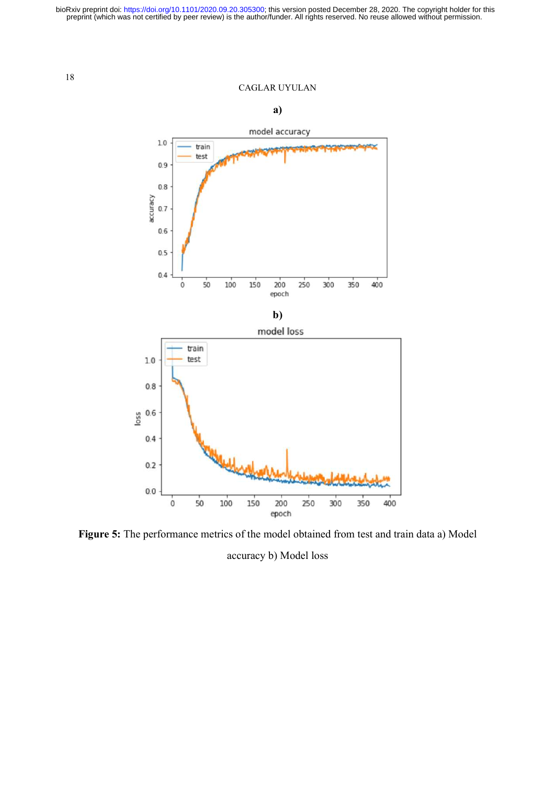## CAGLAR UYULAN



Figure 5: The performance metrics of the model obtained from test and train data a) Model accuracy b) Model loss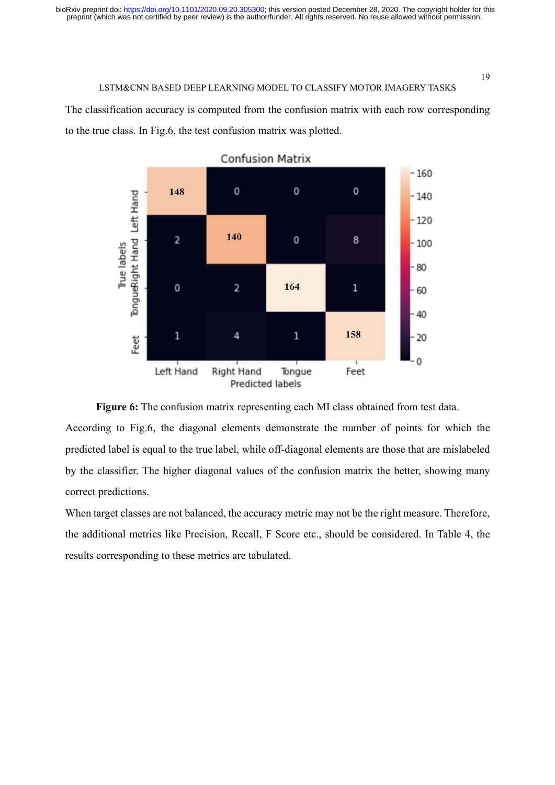The classification accuracy is computed from the confusion matrix with each row corresponding to the true class. In Fig.6, the test confusion matrix was plotted.







According to Fig.6, the diagonal elements demonstrate the number of points for which the predicted label is equal to the true label, while off-diagonal elements are those that are mislabeled by the classifier. The higher diagonal values of the confusion matrix the better, showing many correct predictions.

When target classes are not balanced, the accuracy metric may not be the right measure. Therefore, the additional metrics like Precision, Recall, F Score etc., should be considered. In Table 4, the results corresponding to these metrics are tabulated.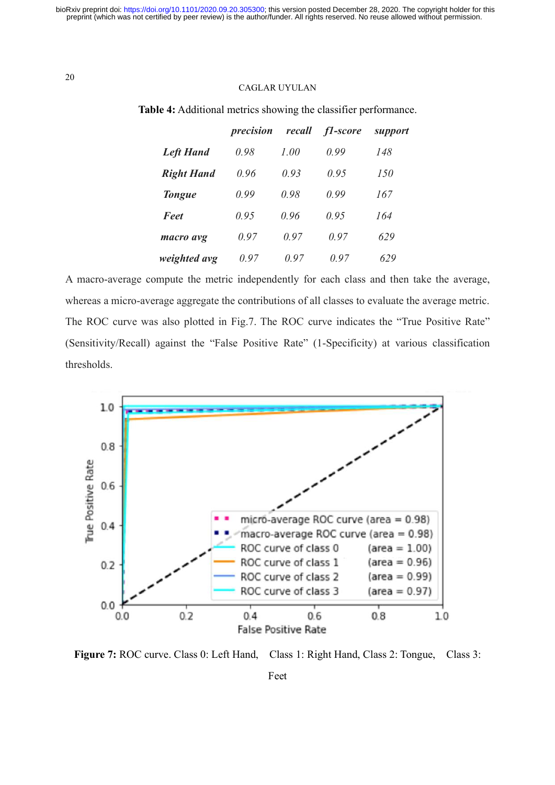## CAGLAR UYULAN

|                   | precision | recall | f1-score | support |
|-------------------|-----------|--------|----------|---------|
| <b>Left Hand</b>  | 0.98      | 1.00   | 0.99     | 148     |
| <b>Right Hand</b> | 0.96      | 0.93   | 0.95     | 150     |
| <b>Tongue</b>     | 0.99      | 0.98   | 0.99     | 167     |
| <b>Feet</b>       | 0.95      | 0.96   | 0.95     | 164     |
| macro avg         | 0.97      | 0.97   | 0.97     | 629     |
| weighted avg      | 0.97      | 0.97   | 0.97     | 629     |

Table 4: Additional metrics showing the classifier performance.

A macro-average compute the metric independently for each class and then take the average, whereas a micro-average aggregate the contributions of all classes to evaluate the average metric. The ROC curve was also plotted in Fig.7. The ROC curve indicates the "True Positive Rate" (Sensitivity/Recall) against the "False Positive Rate" (1-Specificity) at various classification thresholds.



Figure 7: ROC curve. Class 0: Left Hand, Class 1: Right Hand, Class 2: Tongue, Class 3: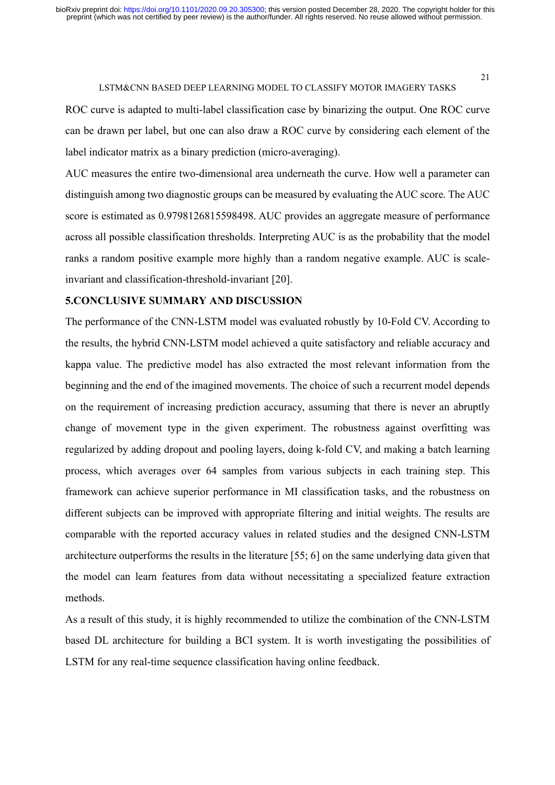ROC curve is adapted to multi-label classification case by binarizing the output. One ROC curve can be drawn per label, but one can also draw a ROC curve by considering each element of the label indicator matrix as a binary prediction (micro-averaging).

AUC measures the entire two-dimensional area underneath the curve. How well a parameter can distinguish among two diagnostic groups can be measured by evaluating the AUC score. The AUC score is estimated as 0.9798126815598498. AUC provides an aggregate measure of performance across all possible classification thresholds. Interpreting AUC is as the probability that the model ranks a random positive example more highly than a random negative example. AUC is scaleinvariant and classification-threshold-invariant [20].

# 5.CONCLUSIVE SUMMARY AND DISCUSSION

The performance of the CNN-LSTM model was evaluated robustly by 10-Fold CV. According to the results, the hybrid CNN-LSTM model achieved a quite satisfactory and reliable accuracy and kappa value. The predictive model has also extracted the most relevant information from the beginning and the end of the imagined movements. The choice of such a recurrent model depends on the requirement of increasing prediction accuracy, assuming that there is never an abruptly change of movement type in the given experiment. The robustness against overfitting was regularized by adding dropout and pooling layers, doing k-fold CV, and making a batch learning process, which averages over 64 samples from various subjects in each training step. This framework can achieve superior performance in MI classification tasks, and the robustness on different subjects can be improved with appropriate filtering and initial weights. The results are comparable with the reported accuracy values in related studies and the designed CNN-LSTM architecture outperforms the results in the literature [55; 6] on the same underlying data given that the model can learn features from data without necessitating a specialized feature extraction methods.

As a result of this study, it is highly recommended to utilize the combination of the CNN-LSTM based DL architecture for building a BCI system. It is worth investigating the possibilities of LSTM for any real-time sequence classification having online feedback.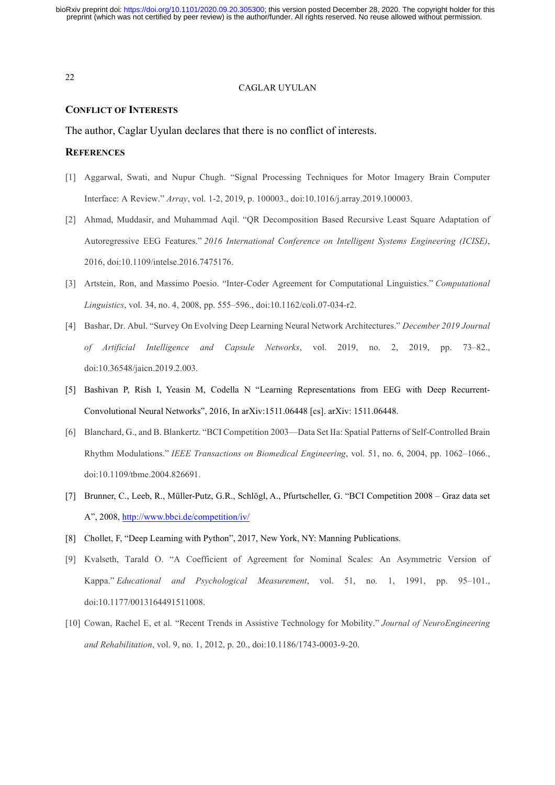#### CAGLAR UYULAN

# CONFLICT OF INTERESTS

The author, Caglar Uyulan declares that there is no conflict of interests.

## **REFERENCES**

- [1] Aggarwal, Swati, and Nupur Chugh. "Signal Processing Techniques for Motor Imagery Brain Computer Interface: A Review." Array, vol. 1-2, 2019, p. 100003., doi:10.1016/j.array.2019.100003.
- [2] Ahmad, Muddasir, and Muhammad Aqil. "QR Decomposition Based Recursive Least Square Adaptation of Autoregressive EEG Features." 2016 International Conference on Intelligent Systems Engineering (ICISE), 2016, doi:10.1109/intelse.2016.7475176.
- [3] Artstein, Ron, and Massimo Poesio. "Inter-Coder Agreement for Computational Linguistics." Computational Linguistics, vol. 34, no. 4, 2008, pp. 555–596., doi:10.1162/coli.07-034-r2.
- [4] Bashar, Dr. Abul. "Survey On Evolving Deep Learning Neural Network Architectures." December 2019 Journal of Artificial Intelligence and Capsule Networks, vol. 2019, no. 2, 2019, pp. 73–82., doi:10.36548/jaicn.2019.2.003.
- [5] Bashivan P, Rish I, Yeasin M, Codella N "Learning Representations from EEG with Deep Recurrent-Convolutional Neural Networks", 2016, In arXiv:1511.06448 [cs]. arXiv: 1511.06448.
- [6] Blanchard, G., and B. Blankertz. "BCI Competition 2003—Data Set IIa: Spatial Patterns of Self-Controlled Brain Rhythm Modulations." IEEE Transactions on Biomedical Engineering, vol. 51, no. 6, 2004, pp. 1062–1066., doi:10.1109/tbme.2004.826691.
- [7] Brunner, C., Leeb, R., Müller-Putz, G.R., Schlögl, A., Pfurtscheller, G. "BCI Competition 2008 Graz data set A", 2008, http://www.bbci.de/competition/iv/
- [8] Chollet, F, "Deep Learning with Python", 2017, New York, NY: Manning Publications.
- [9] Kvalseth, Tarald O. "A Coefficient of Agreement for Nominal Scales: An Asymmetric Version of Kappa." Educational and Psychological Measurement, vol. 51, no. 1, 1991, pp. 95–101., doi:10.1177/0013164491511008.
- [10] Cowan, Rachel E, et al. "Recent Trends in Assistive Technology for Mobility." Journal of NeuroEngineering and Rehabilitation, vol. 9, no. 1, 2012, p. 20., doi:10.1186/1743-0003-9-20.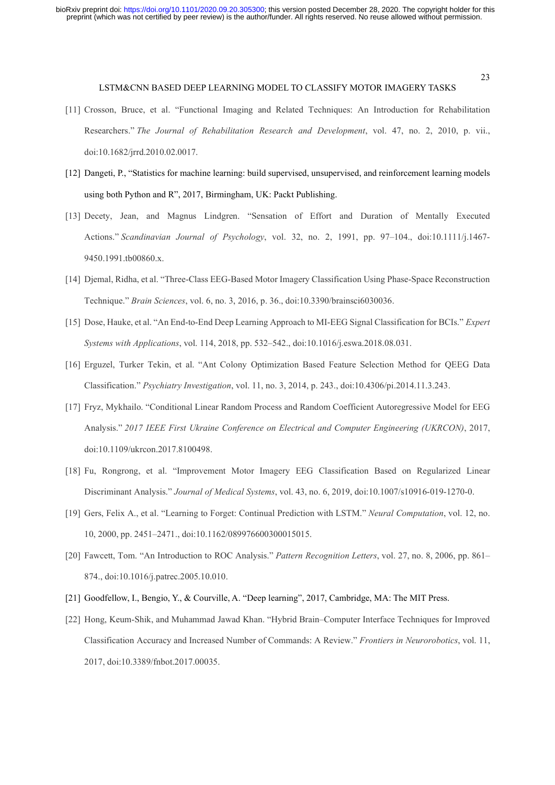- [11] Crosson, Bruce, et al. "Functional Imaging and Related Techniques: An Introduction for Rehabilitation Researchers." The Journal of Rehabilitation Research and Development, vol. 47, no. 2, 2010, p. vii., doi:10.1682/jrrd.2010.02.0017.
- [12] Dangeti, P., "Statistics for machine learning: build supervised, unsupervised, and reinforcement learning models using both Python and R", 2017, Birmingham, UK: Packt Publishing.
- [13] Decety, Jean, and Magnus Lindgren. "Sensation of Effort and Duration of Mentally Executed Actions." Scandinavian Journal of Psychology, vol. 32, no. 2, 1991, pp. 97–104., doi:10.1111/j.1467- 9450.1991.tb00860.x.
- [14] Djemal, Ridha, et al. "Three-Class EEG-Based Motor Imagery Classification Using Phase-Space Reconstruction Technique." Brain Sciences, vol. 6, no. 3, 2016, p. 36., doi:10.3390/brainsci6030036.
- [15] Dose, Hauke, et al. "An End-to-End Deep Learning Approach to MI-EEG Signal Classification for BCIs." Expert Systems with Applications, vol. 114, 2018, pp. 532–542., doi:10.1016/j.eswa.2018.08.031.
- [16] Erguzel, Turker Tekin, et al. "Ant Colony Optimization Based Feature Selection Method for QEEG Data Classification." Psychiatry Investigation, vol. 11, no. 3, 2014, p. 243., doi:10.4306/pi.2014.11.3.243.
- [17] Fryz, Mykhailo. "Conditional Linear Random Process and Random Coefficient Autoregressive Model for EEG Analysis." 2017 IEEE First Ukraine Conference on Electrical and Computer Engineering (UKRCON), 2017, doi:10.1109/ukrcon.2017.8100498.
- [18] Fu, Rongrong, et al. "Improvement Motor Imagery EEG Classification Based on Regularized Linear Discriminant Analysis." Journal of Medical Systems, vol. 43, no. 6, 2019, doi:10.1007/s10916-019-1270-0.
- [19] Gers, Felix A., et al. "Learning to Forget: Continual Prediction with LSTM." Neural Computation, vol. 12, no. 10, 2000, pp. 2451–2471., doi:10.1162/089976600300015015.
- [20] Fawcett, Tom. "An Introduction to ROC Analysis." Pattern Recognition Letters, vol. 27, no. 8, 2006, pp. 861-874., doi:10.1016/j.patrec.2005.10.010.
- [21] Goodfellow, I., Bengio, Y., & Courville, A. "Deep learning", 2017, Cambridge, MA: The MIT Press.
- [22] Hong, Keum-Shik, and Muhammad Jawad Khan. "Hybrid Brain–Computer Interface Techniques for Improved Classification Accuracy and Increased Number of Commands: A Review." Frontiers in Neurorobotics, vol. 11, 2017, doi:10.3389/fnbot.2017.00035.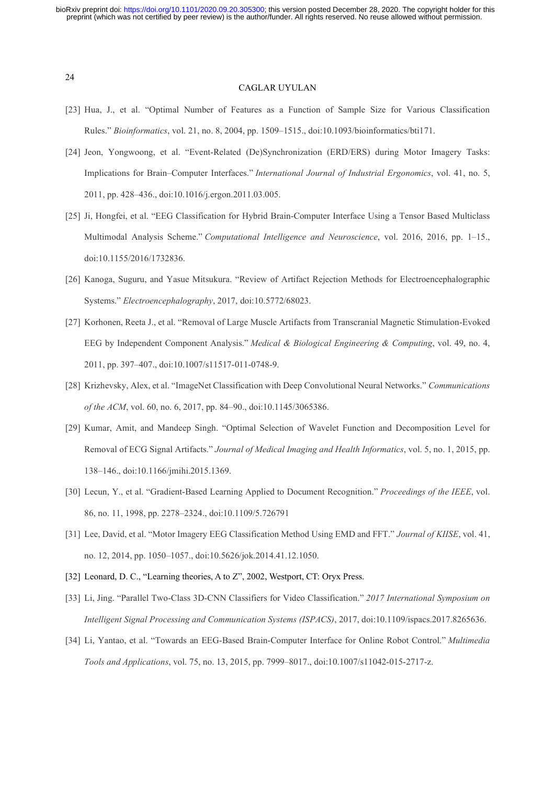#### CAGLAR UYULAN

- [23] Hua, J., et al. "Optimal Number of Features as a Function of Sample Size for Various Classification Rules." Bioinformatics, vol. 21, no. 8, 2004, pp. 1509–1515., doi:10.1093/bioinformatics/bti171.
- [24] Jeon, Yongwoong, et al. "Event-Related (De)Synchronization (ERD/ERS) during Motor Imagery Tasks: Implications for Brain–Computer Interfaces." International Journal of Industrial Ergonomics, vol. 41, no. 5, 2011, pp. 428–436., doi:10.1016/j.ergon.2011.03.005.
- [25] Ji, Hongfei, et al. "EEG Classification for Hybrid Brain-Computer Interface Using a Tensor Based Multiclass Multimodal Analysis Scheme." Computational Intelligence and Neuroscience, vol. 2016, 2016, pp. 1–15., doi:10.1155/2016/1732836.
- [26] Kanoga, Suguru, and Yasue Mitsukura. "Review of Artifact Rejection Methods for Electroencephalographic Systems." Electroencephalography, 2017, doi:10.5772/68023.
- [27] Korhonen, Reeta J., et al. "Removal of Large Muscle Artifacts from Transcranial Magnetic Stimulation-Evoked EEG by Independent Component Analysis." Medical & Biological Engineering & Computing, vol. 49, no. 4, 2011, pp. 397–407., doi:10.1007/s11517-011-0748-9.
- [28] Krizhevsky, Alex, et al. "ImageNet Classification with Deep Convolutional Neural Networks." Communications of the ACM, vol. 60, no. 6, 2017, pp. 84–90., doi:10.1145/3065386.
- [29] Kumar, Amit, and Mandeep Singh. "Optimal Selection of Wavelet Function and Decomposition Level for Removal of ECG Signal Artifacts." Journal of Medical Imaging and Health Informatics, vol. 5, no. 1, 2015, pp. 138–146., doi:10.1166/jmihi.2015.1369.
- [30] Lecun, Y., et al. "Gradient-Based Learning Applied to Document Recognition." Proceedings of the IEEE, vol. 86, no. 11, 1998, pp. 2278–2324., doi:10.1109/5.726791
- [31] Lee, David, et al. "Motor Imagery EEG Classification Method Using EMD and FFT." Journal of KIISE, vol. 41, no. 12, 2014, pp. 1050–1057., doi:10.5626/jok.2014.41.12.1050.
- [32] Leonard, D. C., "Learning theories, A to Z", 2002, Westport, CT: Oryx Press.
- [33] Li, Jing. "Parallel Two-Class 3D-CNN Classifiers for Video Classification." 2017 International Symposium on Intelligent Signal Processing and Communication Systems (ISPACS), 2017, doi:10.1109/ispacs.2017.8265636.
- [34] Li, Yantao, et al. "Towards an EEG-Based Brain-Computer Interface for Online Robot Control." Multimedia Tools and Applications, vol. 75, no. 13, 2015, pp. 7999–8017., doi:10.1007/s11042-015-2717-z.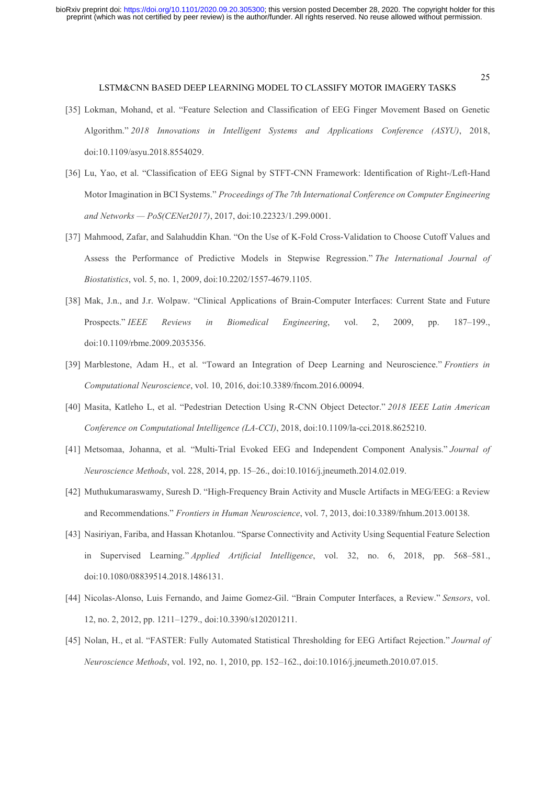#### LSTM&CNN BASED DEEP LEARNING MODEL TO CLASSIFY MOTOR IMAGERY TASKS

- [35] Lokman, Mohand, et al. "Feature Selection and Classification of EEG Finger Movement Based on Genetic Algorithm." 2018 Innovations in Intelligent Systems and Applications Conference (ASYU), 2018, doi:10.1109/asyu.2018.8554029.
- [36] Lu, Yao, et al. "Classification of EEG Signal by STFT-CNN Framework: Identification of Right-/Left-Hand Motor Imagination in BCI Systems." Proceedings of The 7th International Conference on Computer Engineering and Networks — PoS(CENet2017), 2017, doi:10.22323/1.299.0001.
- [37] Mahmood, Zafar, and Salahuddin Khan. "On the Use of K-Fold Cross-Validation to Choose Cutoff Values and Assess the Performance of Predictive Models in Stepwise Regression." The International Journal of Biostatistics, vol. 5, no. 1, 2009, doi:10.2202/1557-4679.1105.
- [38] Mak, J.n., and J.r. Wolpaw. "Clinical Applications of Brain-Computer Interfaces: Current State and Future Prospects." IEEE Reviews in Biomedical Engineering, vol. 2, 2009, pp. 187–199., doi:10.1109/rbme.2009.2035356.
- [39] Marblestone, Adam H., et al. "Toward an Integration of Deep Learning and Neuroscience." Frontiers in Computational Neuroscience, vol. 10, 2016, doi:10.3389/fncom.2016.00094.
- [40] Masita, Katleho L, et al. "Pedestrian Detection Using R-CNN Object Detector." 2018 IEEE Latin American Conference on Computational Intelligence (LA-CCI), 2018, doi:10.1109/la-cci.2018.8625210.
- [41] Metsomaa, Johanna, et al. "Multi-Trial Evoked EEG and Independent Component Analysis." Journal of Neuroscience Methods, vol. 228, 2014, pp. 15–26., doi:10.1016/j.jneumeth.2014.02.019.
- [42] Muthukumaraswamy, Suresh D. "High-Frequency Brain Activity and Muscle Artifacts in MEG/EEG: a Review and Recommendations." Frontiers in Human Neuroscience, vol. 7, 2013, doi:10.3389/fnhum.2013.00138.
- [43] Nasiriyan, Fariba, and Hassan Khotanlou. "Sparse Connectivity and Activity Using Sequential Feature Selection in Supervised Learning." Applied Artificial Intelligence, vol. 32, no. 6, 2018, pp. 568–581., doi:10.1080/08839514.2018.1486131.
- [44] Nicolas-Alonso, Luis Fernando, and Jaime Gomez-Gil. "Brain Computer Interfaces, a Review." Sensors, vol. 12, no. 2, 2012, pp. 1211–1279., doi:10.3390/s120201211.
- [45] Nolan, H., et al. "FASTER: Fully Automated Statistical Thresholding for EEG Artifact Rejection." Journal of Neuroscience Methods, vol. 192, no. 1, 2010, pp. 152–162., doi:10.1016/j.jneumeth.2010.07.015.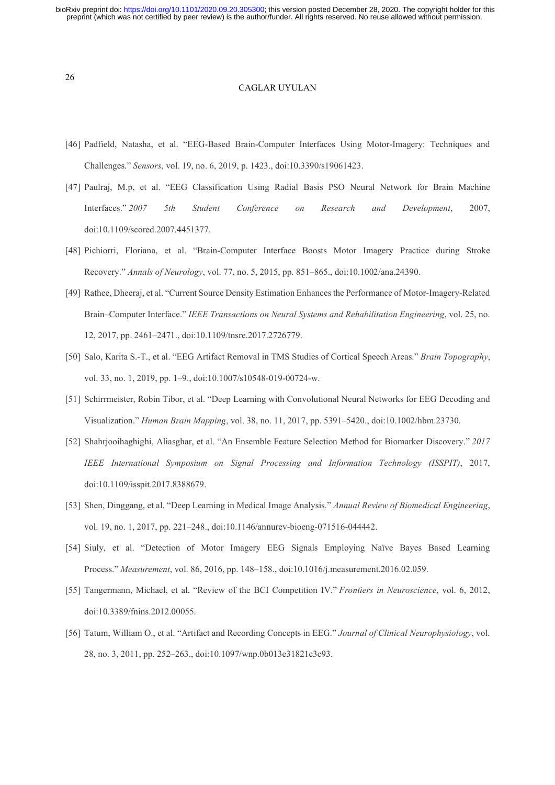#### CAGLAR UYULAN

- [46] Padfield, Natasha, et al. "EEG-Based Brain-Computer Interfaces Using Motor-Imagery: Techniques and Challenges." Sensors, vol. 19, no. 6, 2019, p. 1423., doi:10.3390/s19061423.
- [47] Paulraj, M.p, et al. "EEG Classification Using Radial Basis PSO Neural Network for Brain Machine Interfaces." 2007 5th Student Conference on Research and Development, 2007, doi:10.1109/scored.2007.4451377.
- [48] Pichiorri, Floriana, et al. "Brain-Computer Interface Boosts Motor Imagery Practice during Stroke Recovery." Annals of Neurology, vol. 77, no. 5, 2015, pp. 851–865., doi:10.1002/ana.24390.
- [49] Rathee, Dheeraj, et al. "Current Source Density Estimation Enhances the Performance of Motor-Imagery-Related Brain–Computer Interface." IEEE Transactions on Neural Systems and Rehabilitation Engineering, vol. 25, no. 12, 2017, pp. 2461–2471., doi:10.1109/tnsre.2017.2726779.
- [50] Salo, Karita S.-T., et al. "EEG Artifact Removal in TMS Studies of Cortical Speech Areas." Brain Topography, vol. 33, no. 1, 2019, pp. 1–9., doi:10.1007/s10548-019-00724-w.
- [51] Schirrmeister, Robin Tibor, et al. "Deep Learning with Convolutional Neural Networks for EEG Decoding and Visualization." Human Brain Mapping, vol. 38, no. 11, 2017, pp. 5391–5420., doi:10.1002/hbm.23730.
- [52] Shahrjooihaghighi, Aliasghar, et al. "An Ensemble Feature Selection Method for Biomarker Discovery." 2017 IEEE International Symposium on Signal Processing and Information Technology (ISSPIT), 2017, doi:10.1109/isspit.2017.8388679.
- [53] Shen, Dinggang, et al. "Deep Learning in Medical Image Analysis." Annual Review of Biomedical Engineering, vol. 19, no. 1, 2017, pp. 221–248., doi:10.1146/annurev-bioeng-071516-044442.
- [54] Siuly, et al. "Detection of Motor Imagery EEG Signals Employing Naïve Bayes Based Learning Process." Measurement, vol. 86, 2016, pp. 148–158., doi:10.1016/j.measurement.2016.02.059.
- [55] Tangermann, Michael, et al. "Review of the BCI Competition IV." Frontiers in Neuroscience, vol. 6, 2012, doi:10.3389/fnins.2012.00055.
- [56] Tatum, William O., et al. "Artifact and Recording Concepts in EEG." Journal of Clinical Neurophysiology, vol. 28, no. 3, 2011, pp. 252–263., doi:10.1097/wnp.0b013e31821c3c93.